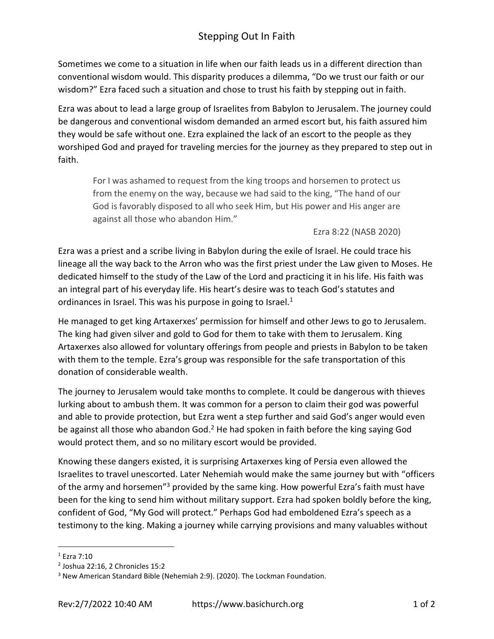## Stepping Out In Faith

Sometimes we come to a situation in life when our faith leads us in a different direction than conventional wisdom would. This disparity produces a dilemma, "Do we trust our faith or our wisdom?" Ezra faced such a situation and chose to trust his faith by stepping out in faith.

Ezra was about to lead a large group of Israelites from Babylon to Jerusalem. The journey could be dangerous and conventional wisdom demanded an armed escort but, his faith assured him they would be safe without one. Ezra explained the lack of an escort to the people as they worshiped God and prayed for traveling mercies for the journey as they prepared to step out in faith.

For I was ashamed to request from the king troops and horsemen to protect us from the enemy on the way, because we had said to the king, "The hand of our God is favorably disposed to all who seek Him, but His power and His anger are against all those who abandon Him."

Ezra 8:22 (NASB 2020)

Ezra was a priest and a scribe living in Babylon during the exile of Israel. He could trace his lineage all the way back to the Arron who was the first priest under the Law given to Moses. He dedicated himself to the study of the Law of the Lord and practicing it in his life. His faith was an integral part of his everyday life. His heart's desire was to teach God's statutes and ordinances in Israel. This was his purpose in going to Israel.<sup>1</sup>

He managed to get king Artaxerxes' permission for himself and other Jews to go to Jerusalem. The king had given silver and gold to God for them to take with them to Jerusalem. King Artaxerxes also allowed for voluntary offerings from people and priests in Babylon to be taken with them to the temple. Ezra's group was responsible for the safe transportation of this donation of considerable wealth.

The journey to Jerusalem would take months to complete. It could be dangerous with thieves lurking about to ambush them. It was common for a person to claim their god was powerful and able to provide protection, but Ezra went a step further and said God's anger would even be against all those who abandon God.<sup>2</sup> He had spoken in faith before the king saying God would protect them, and so no military escort would be provided.

Knowing these dangers existed, it is surprising Artaxerxes king of Persia even allowed the Israelites to travel unescorted. Later Nehemiah would make the same journey but with "officers of the army and horsemen<sup>"3</sup> provided by the same king. How powerful Ezra's faith must have been for the king to send him without military support. Ezra had spoken boldly before the king, confident of God, "My God will protect." Perhaps God had emboldened Ezra's speech as a testimony to the king. Making a journey while carrying provisions and many valuables without

<sup>1</sup> Ezra 7:10

<sup>2</sup> Joshua 22:16, 2 Chronicles 15:2

<sup>&</sup>lt;sup>3</sup> New American Standard Bible (Nehemiah 2:9). (2020). The Lockman Foundation.